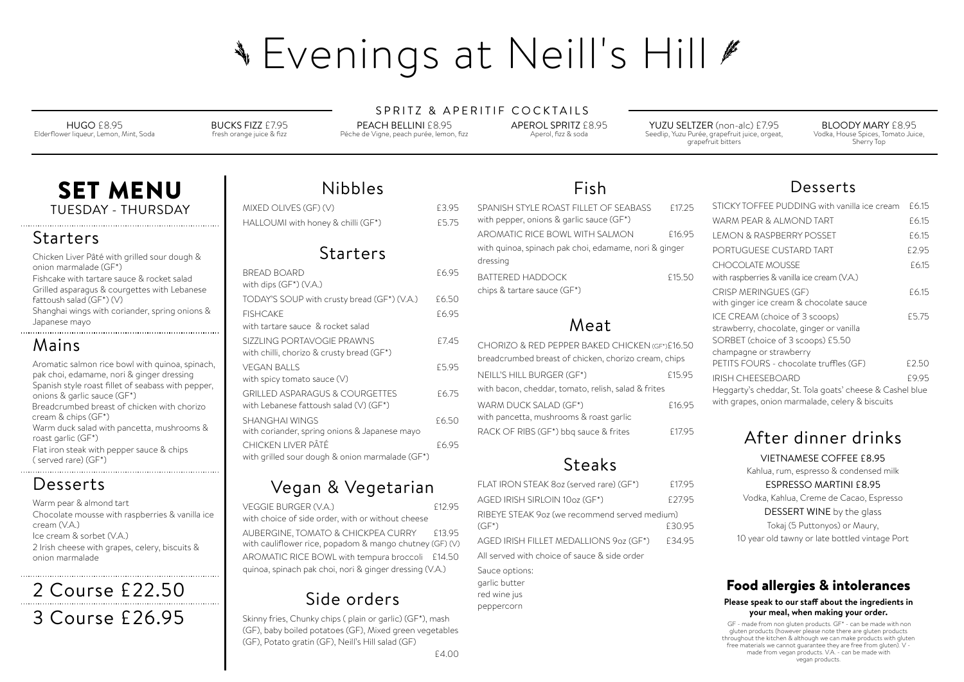SPRITZ & APERITIF COCKTAILS

### Food allergies & intolerances

#### **Please speak to our staf about the ingredients in your meal, when making your order.**

 GF - made from non gluten products. GF\* - can be made with non gluten products (however please note there are gluten products throughout the kitchen & although we can make products with gluten free materials we cannot guarantee they are free from gluten). V made from vegan products. V.A. - can be made with vegan products.

### Nibbles

MIXED OLIVES (GF) (V) 63.95 HALLOUMI with honey & chilli (GF\*) 65.75

### Starters

VEGGIE BURGER (V.A.) **ESPECIE E12.95** with choice of side order, with or without cheese AUBERGINE, TOMATO & CHICKPEA CURRY £13.95 with cauliflower rice, popadom & mango chutney (GF) (V) AROMATIC RICE BOWL with tempura broccoli £14.50 quinoa, spinach pak choi, nori & ginger dressing (V.A.)

| <b>BREAD BOARD</b><br>with dips $(GF^*)$ (V.A.)                            | £6.95 |
|----------------------------------------------------------------------------|-------|
| TODAY'S SOUP with crusty bread (GF*) (V.A.)                                | £6.50 |
| <b>FISHCAKE</b><br>with tartare sauce & rocket salad                       | £6.95 |
| SIZZLING PORTAVOGIE PRAWNS<br>with chilli, chorizo & crusty bread (GF*)    | £7.45 |
| VEGAN BALLS<br>with spicy tomato sauce $(V)$                               | £5.95 |
| GRILLED ASPARAGUS & COURGETTES<br>with Lebanese fattoush salad $(V)$ (GF*) | £6.75 |
| SHANGHAI WINGS<br>with coriander, spring onions & Japanese mayo            | £6.50 |
| CHICKEN LIVER PÂTÉ<br>with grilled sour dough & onion marmalade (GF*)      | £6.95 |

### Vegan & Vegetarian

### Side orders

Skinny fries, Chunky chips ( plain or garlic) (GF\*), mash (GF), baby boiled potatoes (GF), Mixed green vegetables (GF), Potato gratin (GF), Neill's Hill salad (GF)



### Desserts

### **SET MENU** TUESDAY - THURSDAY

| STICKY TOFFEE PUDDING with vanilla ice cream                                                                                               | £6.15 |
|--------------------------------------------------------------------------------------------------------------------------------------------|-------|
| WARM PEAR & ALMOND TART                                                                                                                    | £6.15 |
| <b>LEMON &amp; RASPBERRY POSSET</b>                                                                                                        | £6.15 |
| PORTUGUESE CUSTARD TART                                                                                                                    | £2.95 |
| CHOCOLATE MOUSSE                                                                                                                           | £6.15 |
| with raspberries & vanilla ice cream (V.A.)                                                                                                |       |
| <b>CRISP MERINGUES (GF)</b><br>with ginger ice cream & chocolate sauce                                                                     | £6.15 |
| ICE CREAM (choice of 3 scoops)<br>strawberry, chocolate, ginger or vanilla<br>SORBET (choice of 3 scoops) £5.50<br>champagne or strawberry | £5.75 |
| PETITS FOURS - chocolate truffles (GF)                                                                                                     | £2.50 |
| <b>IRISH CHEESEBOARD</b><br>Heggarty's cheddar, St. Tola goats' cheese & Cashel blue                                                       | £9.95 |

with grapes, onion marmalade, celery & biscuits

### After dinner drinks

VIETNAMESE COFFEE £8.95 Kahlua, rum, espresso & condensed milk ESPRESSO MARTINI £8.95 Vodka, Kahlua, Creme de Cacao, Espresso DESSERT WINE by the glass Tokaj (5 Puttonyos) or Maury, 10 year old tawny or late bottled vintage Port

### Fish

| SPANISH STYLE ROAST FILLET OF SEABASS                                                                  | £17.25 | 5 I IC              |
|--------------------------------------------------------------------------------------------------------|--------|---------------------|
| with pepper, onions & garlic sauce (GF*)                                                               |        | <b>WAF</b>          |
| <b>AROMATIC RICE BOWL WITH SALMON</b>                                                                  | £16.95 | <b>LEM</b>          |
| with quinoa, spinach pak choi, edamame, nori & ginger                                                  |        | POR                 |
| dressing                                                                                               |        | CHC                 |
| <b>BATTERED HADDOCK</b>                                                                                | £15.50 | with                |
| chips & tartare sauce (GF*)                                                                            |        | <b>CRIS</b><br>with |
|                                                                                                        |        | <b>ICE</b>          |
| Meat                                                                                                   |        | strav               |
| CHORIZO & RED PEPPER BAKED CHICKEN (GF*)£16.50<br>breadcrumbed breast of chicken, chorizo cream, chips |        | SOR<br>char<br>PETI |
| NEILL'S HILL BURGER (GF*)                                                                              | £15.95 | <b>IRISH</b>        |
| with bacon, cheddar, tomato, relish, salad & frites                                                    |        | Heg <sub></sub>     |
| WARM DUCK SALAD (GF*)<br>with pancetta, mushrooms & roast garlic                                       | £16.95 | with                |
| RACK OF RIBS (GF*) bbq sauce & frites                                                                  | £17.95 |                     |
|                                                                                                        |        |                     |

### Steaks

| FLAT IRON STEAK 8oz (served rare) (GF*)                       | £17.95 |
|---------------------------------------------------------------|--------|
| AGED IRISH SIRLOIN 10oz (GF*)                                 | £27.95 |
| RIBEYE STEAK 9oz (we recommend served medium)<br>$(GF^*)$     | £30.95 |
| AGED IRISH FILLET MEDALLIONS 9oz (GF*)                        | £34.95 |
| All served with choice of sauce & side order                  |        |
| Sauce options:<br>garlic butter<br>red wine jus<br>peppercorn |        |

# **NEvenings at Neill's Hill #**

HUGO £8.95 Elderflower liqueur, Lemon, Mint, Soda BUCKS FIZZ £7.95 fresh orange juice & fizz

PEACH BELLINI £8.95 Péche de Vigne, peach purée, lemon, fizz APEROL SPRITZ £8.95 Aperol, fizz & soda

YUZU SELTZER (non-alc) £7.95 Seedlip, Yuzu Purée, grapefruit juice, orgeat, grapefruit bitters

BLOODY MARY £8.95 Vodka, House Spices, Tomato Juice, Sherry Top

### Starters

Chicken Liver Pâté with grilled sour dough & onion marmalade (GF\*) Fishcake with tartare sauce & rocket salad Grilled asparagus & courgettes with Lebanese fattoush salad (GF\*) (V) Shanghai wings with coriander, spring onions & Japanese mayo

### Mains

Aromatic salmon rice bowl with quinoa, spinach, pak choi, edamame, nori & ginger dressing Spanish style roast fillet of seabass with pepper, onions & garlic sauce (GF\*) Breadcrumbed breast of chicken with chorizo cream & chips (GF\*) Warm duck salad with pancetta, mushrooms & roast garlic (GF\*) Flat iron steak with pepper sauce & chips ( served rare) (GF\*)

### Desserts

Warm pear & almond tart Chocolate mousse with raspberries & vanilla ice cream (V.A.) Ice cream & sorbet (V.A.) 2 Irish cheese with grapes, celery, biscuits & onion marmalade

### 2 Course £22.50

3 Course £26.95